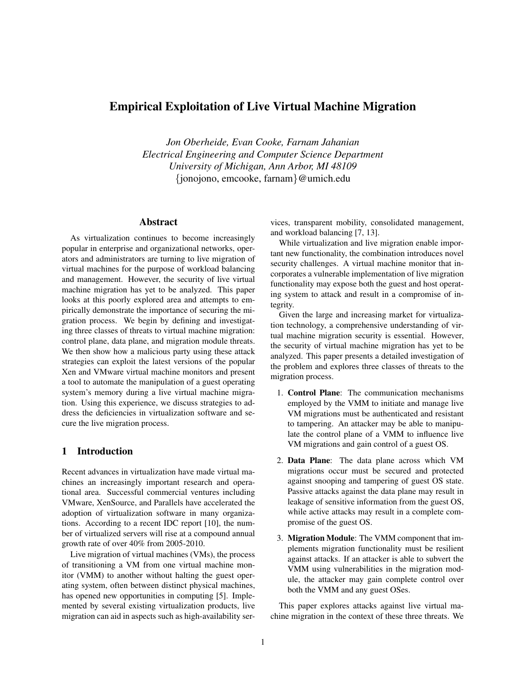# Empirical Exploitation of Live Virtual Machine Migration

*Jon Oberheide, Evan Cooke, Farnam Jahanian Electrical Engineering and Computer Science Department University of Michigan, Ann Arbor, MI 48109* {jonojono, emcooke, farnam}@umich.edu

## Abstract

As virtualization continues to become increasingly popular in enterprise and organizational networks, operators and administrators are turning to live migration of virtual machines for the purpose of workload balancing and management. However, the security of live virtual machine migration has yet to be analyzed. This paper looks at this poorly explored area and attempts to empirically demonstrate the importance of securing the migration process. We begin by defining and investigating three classes of threats to virtual machine migration: control plane, data plane, and migration module threats. We then show how a malicious party using these attack strategies can exploit the latest versions of the popular Xen and VMware virtual machine monitors and present a tool to automate the manipulation of a guest operating system's memory during a live virtual machine migration. Using this experience, we discuss strategies to address the deficiencies in virtualization software and secure the live migration process.

## 1 Introduction

Recent advances in virtualization have made virtual machines an increasingly important research and operational area. Successful commercial ventures including VMware, XenSource, and Parallels have accelerated the adoption of virtualization software in many organizations. According to a recent IDC report [10], the number of virtualized servers will rise at a compound annual growth rate of over 40% from 2005-2010.

Live migration of virtual machines (VMs), the process of transitioning a VM from one virtual machine monitor (VMM) to another without halting the guest operating system, often between distinct physical machines, has opened new opportunities in computing [5]. Implemented by several existing virtualization products, live migration can aid in aspects such as high-availability services, transparent mobility, consolidated management, and workload balancing [7, 13].

While virtualization and live migration enable important new functionality, the combination introduces novel security challenges. A virtual machine monitor that incorporates a vulnerable implementation of live migration functionality may expose both the guest and host operating system to attack and result in a compromise of integrity.

Given the large and increasing market for virtualization technology, a comprehensive understanding of virtual machine migration security is essential. However, the security of virtual machine migration has yet to be analyzed. This paper presents a detailed investigation of the problem and explores three classes of threats to the migration process.

- 1. Control Plane: The communication mechanisms employed by the VMM to initiate and manage live VM migrations must be authenticated and resistant to tampering. An attacker may be able to manipulate the control plane of a VMM to influence live VM migrations and gain control of a guest OS.
- 2. Data Plane: The data plane across which VM migrations occur must be secured and protected against snooping and tampering of guest OS state. Passive attacks against the data plane may result in leakage of sensitive information from the guest OS, while active attacks may result in a complete compromise of the guest OS.
- 3. Migration Module: The VMM component that implements migration functionality must be resilient against attacks. If an attacker is able to subvert the VMM using vulnerabilities in the migration module, the attacker may gain complete control over both the VMM and any guest OSes.

This paper explores attacks against live virtual machine migration in the context of these three threats. We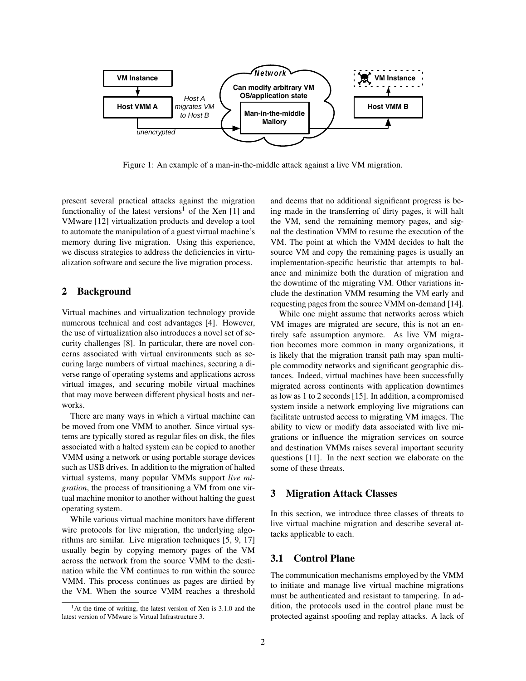

Figure 1: An example of a man-in-the-middle attack against a live VM migration.

present several practical attacks against the migration functionality of the latest versions<sup>1</sup> of the Xen  $[1]$  and VMware [12] virtualization products and develop a tool to automate the manipulation of a guest virtual machine's memory during live migration. Using this experience, we discuss strategies to address the deficiencies in virtualization software and secure the live migration process.

### 2 Background

Virtual machines and virtualization technology provide numerous technical and cost advantages [4]. However, the use of virtualization also introduces a novel set of security challenges [8]. In particular, there are novel concerns associated with virtual environments such as securing large numbers of virtual machines, securing a diverse range of operating systems and applications across virtual images, and securing mobile virtual machines that may move between different physical hosts and networks.

There are many ways in which a virtual machine can be moved from one VMM to another. Since virtual systems are typically stored as regular files on disk, the files associated with a halted system can be copied to another VMM using a network or using portable storage devices such as USB drives. In addition to the migration of halted virtual systems, many popular VMMs support *live migration*, the process of transitioning a VM from one virtual machine monitor to another without halting the guest operating system.

While various virtual machine monitors have different wire protocols for live migration, the underlying algorithms are similar. Live migration techniques [5, 9, 17] usually begin by copying memory pages of the VM across the network from the source VMM to the destination while the VM continues to run within the source VMM. This process continues as pages are dirtied by the VM. When the source VMM reaches a threshold and deems that no additional significant progress is being made in the transferring of dirty pages, it will halt the VM, send the remaining memory pages, and signal the destination VMM to resume the execution of the VM. The point at which the VMM decides to halt the source VM and copy the remaining pages is usually an implementation-specific heuristic that attempts to balance and minimize both the duration of migration and the downtime of the migrating VM. Other variations include the destination VMM resuming the VM early and requesting pages from the source VMM on-demand [14].

While one might assume that networks across which VM images are migrated are secure, this is not an entirely safe assumption anymore. As live VM migration becomes more common in many organizations, it is likely that the migration transit path may span multiple commodity networks and significant geographic distances. Indeed, virtual machines have been successfully migrated across continents with application downtimes as low as 1 to 2 seconds [15]. In addition, a compromised system inside a network employing live migrations can facilitate untrusted access to migrating VM images. The ability to view or modify data associated with live migrations or influence the migration services on source and destination VMMs raises several important security questions [11]. In the next section we elaborate on the some of these threats.

## 3 Migration Attack Classes

In this section, we introduce three classes of threats to live virtual machine migration and describe several attacks applicable to each.

## 3.1 Control Plane

The communication mechanisms employed by the VMM to initiate and manage live virtual machine migrations must be authenticated and resistant to tampering. In addition, the protocols used in the control plane must be protected against spoofing and replay attacks. A lack of

<sup>&</sup>lt;sup>1</sup>At the time of writing, the latest version of Xen is  $3.1.0$  and the latest version of VMware is Virtual Infrastructure 3.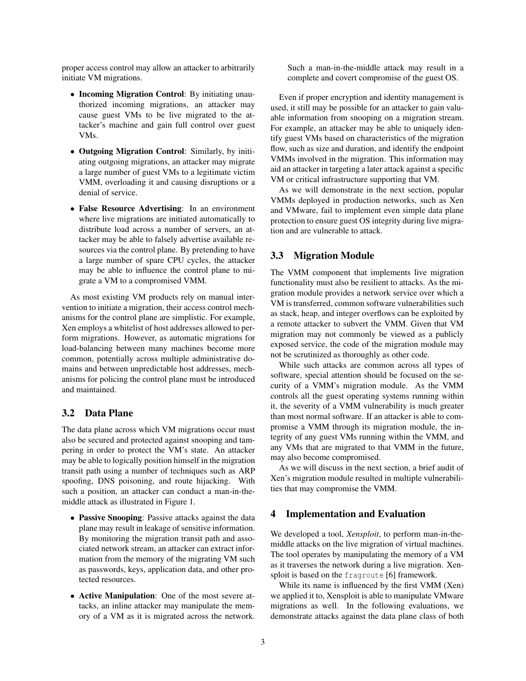proper access control may allow an attacker to arbitrarily initiate VM migrations.

- Incoming Migration Control: By initiating unauthorized incoming migrations, an attacker may cause guest VMs to be live migrated to the attacker's machine and gain full control over guest VMs.
- Outgoing Migration Control: Similarly, by initiating outgoing migrations, an attacker may migrate a large number of guest VMs to a legitimate victim VMM, overloading it and causing disruptions or a denial of service.
- False Resource Advertising: In an environment where live migrations are initiated automatically to distribute load across a number of servers, an attacker may be able to falsely advertise available resources via the control plane. By pretending to have a large number of spare CPU cycles, the attacker may be able to influence the control plane to migrate a VM to a compromised VMM.

As most existing VM products rely on manual intervention to initiate a migration, their access control mechanisms for the control plane are simplistic. For example, Xen employs a whitelist of host addresses allowed to perform migrations. However, as automatic migrations for load-balancing between many machines become more common, potentially across multiple administrative domains and between unpredictable host addresses, mechanisms for policing the control plane must be introduced and maintained.

## 3.2 Data Plane

The data plane across which VM migrations occur must also be secured and protected against snooping and tampering in order to protect the VM's state. An attacker may be able to logically position himself in the migration transit path using a number of techniques such as ARP spoofing, DNS poisoning, and route hijacking. With such a position, an attacker can conduct a man-in-themiddle attack as illustrated in Figure 1.

- Passive Snooping: Passive attacks against the data plane may result in leakage of sensitive information. By monitoring the migration transit path and associated network stream, an attacker can extract information from the memory of the migrating VM such as passwords, keys, application data, and other protected resources.
- Active Manipulation: One of the most severe attacks, an inline attacker may manipulate the memory of a VM as it is migrated across the network.

Such a man-in-the-middle attack may result in a complete and covert compromise of the guest OS.

Even if proper encryption and identity management is used, it still may be possible for an attacker to gain valuable information from snooping on a migration stream. For example, an attacker may be able to uniquely identify guest VMs based on characteristics of the migration flow, such as size and duration, and identify the endpoint VMMs involved in the migration. This information may aid an attacker in targeting a later attack against a specific VM or critical infrastructure supporting that VM.

As we will demonstrate in the next section, popular VMMs deployed in production networks, such as Xen and VMware, fail to implement even simple data plane protection to ensure guest OS integrity during live migration and are vulnerable to attack.

### 3.3 Migration Module

The VMM component that implements live migration functionality must also be resilient to attacks. As the migration module provides a network service over which a VM is transferred, common software vulnerabilities such as stack, heap, and integer overflows can be exploited by a remote attacker to subvert the VMM. Given that VM migration may not commonly be viewed as a publicly exposed service, the code of the migration module may not be scrutinized as thoroughly as other code.

While such attacks are common across all types of software, special attention should be focused on the security of a VMM's migration module. As the VMM controls all the guest operating systems running within it, the severity of a VMM vulnerability is much greater than most normal software. If an attacker is able to compromise a VMM through its migration module, the integrity of any guest VMs running within the VMM, and any VMs that are migrated to that VMM in the future, may also become compromised.

As we will discuss in the next section, a brief audit of Xen's migration module resulted in multiple vulnerabilities that may compromise the VMM.

### 4 Implementation and Evaluation

We developed a tool, *Xensploit*, to perform man-in-themiddle attacks on the live migration of virtual machines. The tool operates by manipulating the memory of a VM as it traverses the network during a live migration. Xensploit is based on the fragroute [6] framework.

While its name is influenced by the first VMM (Xen) we applied it to, Xensploit is able to manipulate VMware migrations as well. In the following evaluations, we demonstrate attacks against the data plane class of both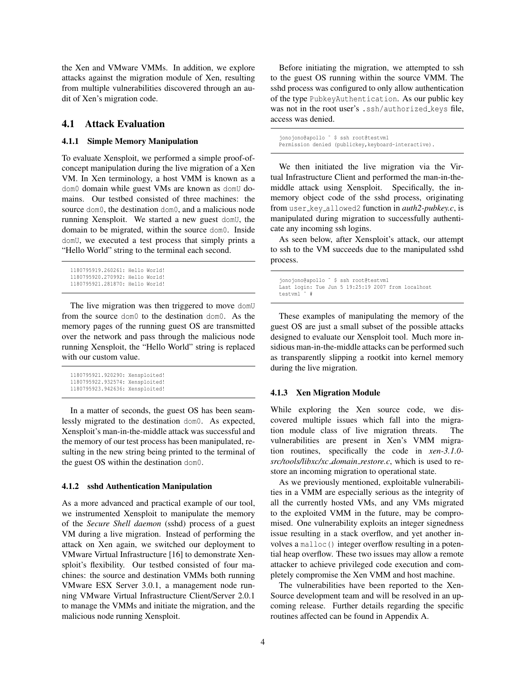the Xen and VMware VMMs. In addition, we explore attacks against the migration module of Xen, resulting from multiple vulnerabilities discovered through an audit of Xen's migration code.

### 4.1 Attack Evaluation

### 4.1.1 Simple Memory Manipulation

To evaluate Xensploit, we performed a simple proof-ofconcept manipulation during the live migration of a Xen VM. In Xen terminology, a host VMM is known as a dom0 domain while guest VMs are known as domU domains. Our testbed consisted of three machines: the source dom0, the destination dom0, and a malicious node running Xensploit. We started a new guest domU, the domain to be migrated, within the source dom0. Inside domU, we executed a test process that simply prints a "Hello World" string to the terminal each second.

```
1180795919.260261: Hello World!
1180795920.270992: Hello World!
1180795921.281870: Hello World!
```
The live migration was then triggered to move domU from the source dom0 to the destination dom0. As the memory pages of the running guest OS are transmitted over the network and pass through the malicious node running Xensploit, the "Hello World" string is replaced with our custom value.

```
1180795921.920290: Xensploited!
1180795922.932574: Xensploited!
1180795923.942636: Xensploited!
```
In a matter of seconds, the guest OS has been seamlessly migrated to the destination dom0. As expected, Xensploit's man-in-the-middle attack was successful and the memory of our test process has been manipulated, resulting in the new string being printed to the terminal of the guest OS within the destination dom0.

#### 4.1.2 sshd Authentication Manipulation

As a more advanced and practical example of our tool, we instrumented Xensploit to manipulate the memory of the *Secure Shell daemon* (sshd) process of a guest VM during a live migration. Instead of performing the attack on Xen again, we switched our deployment to VMware Virtual Infrastructure [16] to demonstrate Xensploit's flexibility. Our testbed consisted of four machines: the source and destination VMMs both running VMware ESX Server 3.0.1, a management node running VMware Virtual Infrastructure Client/Server 2.0.1 to manage the VMMs and initiate the migration, and the malicious node running Xensploit.

Before initiating the migration, we attempted to ssh to the guest OS running within the source VMM. The sshd process was configured to only allow authentication of the type PubkeyAuthentication. As our public key was not in the root user's .ssh/authorized\_keys file, access was denied.

jonojono@apollo ˜ \$ ssh root@testvm1 Permission denied (publickey,keyboard-interactive).

We then initiated the live migration via the Virtual Infrastructure Client and performed the man-in-themiddle attack using Xensploit. Specifically, the inmemory object code of the sshd process, originating from user key allowed2 function in *auth2-pubkey.c*, is manipulated during migration to successfully authenticate any incoming ssh logins.

As seen below, after Xensploit's attack, our attempt to ssh to the VM succeeds due to the manipulated sshd process.

```
jonojono@apollo ˜ $ ssh root@testvm1
Last login: Tue Jun 5 19:25:19 2007 from localhost
testvm1 ˜ #
```
These examples of manipulating the memory of the guest OS are just a small subset of the possible attacks designed to evaluate our Xensploit tool. Much more insidious man-in-the-middle attacks can be performed such as transparently slipping a rootkit into kernel memory during the live migration.

#### 4.1.3 Xen Migration Module

While exploring the Xen source code, we discovered multiple issues which fall into the migration module class of live migration threats. The vulnerabilities are present in Xen's VMM migration routines, specifically the code in *xen-3.1.0 src/tools/libxc/xc domain restore.c*, which is used to restore an incoming migration to operational state.

As we previously mentioned, exploitable vulnerabilities in a VMM are especially serious as the integrity of all the currently hosted VMs, and any VMs migrated to the exploited VMM in the future, may be compromised. One vulnerability exploits an integer signedness issue resulting in a stack overflow, and yet another involves a malloc() integer overflow resulting in a potential heap overflow. These two issues may allow a remote attacker to achieve privileged code execution and completely compromise the Xen VMM and host machine.

The vulnerabilities have been reported to the Xen-Source development team and will be resolved in an upcoming release. Further details regarding the specific routines affected can be found in Appendix A.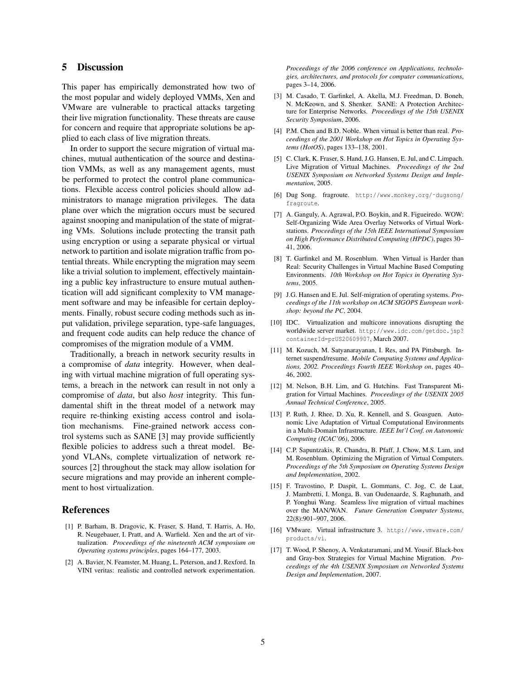## 5 Discussion

This paper has empirically demonstrated how two of the most popular and widely deployed VMMs, Xen and VMware are vulnerable to practical attacks targeting their live migration functionality. These threats are cause for concern and require that appropriate solutions be applied to each class of live migration threats.

In order to support the secure migration of virtual machines, mutual authentication of the source and destination VMMs, as well as any management agents, must be performed to protect the control plane communications. Flexible access control policies should allow administrators to manage migration privileges. The data plane over which the migration occurs must be secured against snooping and manipulation of the state of migrating VMs. Solutions include protecting the transit path using encryption or using a separate physical or virtual network to partition and isolate migration traffic from potential threats. While encrypting the migration may seem like a trivial solution to implement, effectively maintaining a public key infrastructure to ensure mutual authentication will add significant complexity to VM management software and may be infeasible for certain deployments. Finally, robust secure coding methods such as input validation, privilege separation, type-safe languages, and frequent code audits can help reduce the chance of compromises of the migration module of a VMM.

Traditionally, a breach in network security results in a compromise of *data* integrity. However, when dealing with virtual machine migration of full operating systems, a breach in the network can result in not only a compromise of *data*, but also *host* integrity. This fundamental shift in the threat model of a network may require re-thinking existing access control and isolation mechanisms. Fine-grained network access control systems such as SANE [3] may provide sufficiently flexible policies to address such a threat model. Beyond VLANs, complete virtualization of network resources [2] throughout the stack may allow isolation for secure migrations and may provide an inherent complement to host virtualization.

### References

- [1] P. Barham, B. Dragovic, K. Fraser, S. Hand, T. Harris, A. Ho, R. Neugebauer, I. Pratt, and A. Warfield. Xen and the art of virtualization. *Proceedings of the nineteenth ACM symposium on Operating systems principles*, pages 164–177, 2003.
- [2] A. Bavier, N. Feamster, M. Huang, L. Peterson, and J. Rexford. In VINI veritas: realistic and controlled network experimentation.

*Proceedings of the 2006 conference on Applications, technologies, architectures, and protocols for computer communications*, pages 3–14, 2006.

- [3] M. Casado, T. Garfinkel, A. Akella, M.J. Freedman, D. Boneh, N. McKeown, and S. Shenker. SANE: A Protection Architecture for Enterprise Networks. *Proceedings of the 15th USENIX Security Symposium*, 2006.
- [4] P.M. Chen and B.D. Noble. When virtual is better than real. *Proceedings of the 2001 Workshop on Hot Topics in Operating Systems (HotOS)*, pages 133–138, 2001.
- [5] C. Clark, K. Fraser, S. Hand, J.G. Hansen, E. Jul, and C. Limpach. Live Migration of Virtual Machines. *Proceedings of the 2nd USENIX Symposium on Networked Systems Design and Implementation*, 2005.
- [6] Dug Song. fragroute. http://www.monkey.org/˜dugsong/ fragroute.
- [7] A. Ganguly, A. Agrawal, P.O. Boykin, and R. Figueiredo. WOW: Self-Organizing Wide Area Overlay Networks of Virtual Workstations. *Proceedings of the 15th IEEE International Symposium on High Performance Distributed Computing (HPDC)*, pages 30– 41, 2006.
- [8] T. Garfinkel and M. Rosenblum. When Virtual is Harder than Real: Security Challenges in Virtual Machine Based Computing Environments. *10th Workshop on Hot Topics in Operating Systems*, 2005.
- [9] J.G. Hansen and E. Jul. Self-migration of operating systems. *Proceedings of the 11th workshop on ACM SIGOPS European workshop: beyond the PC*, 2004.
- [10] IDC. Virtualization and multicore innovations disrupting the worldwide server market. http://www.idc.com/getdoc.jsp? containerId=prUS20609907, March 2007.
- [11] M. Kozuch, M. Satyanarayanan, I. Res, and PA Pittsburgh. Internet suspend/resume. *Mobile Computing Systems and Applications, 2002. Proceedings Fourth IEEE Workshop on*, pages 40– 46, 2002.
- [12] M. Nelson, B.H. Lim, and G. Hutchins. Fast Transparent Migration for Virtual Machines. *Proceedings of the USENIX 2005 Annual Technical Conference*, 2005.
- [13] P. Ruth, J. Rhee, D. Xu, R. Kennell, and S. Goasguen. Autonomic Live Adaptation of Virtual Computational Environments in a Multi-Domain Infrastructure. *IEEE Int'l Conf. on Autonomic Computing (ICAC'06)*, 2006.
- [14] C.P. Sapuntzakis, R. Chandra, B. Pfaff, J. Chow, M.S. Lam, and M. Rosenblum. Optimizing the Migration of Virtual Computers. *Proceedings of the 5th Symposium on Operating Systems Design and Implementation*, 2002.
- [15] F. Travostino, P. Daspit, L. Gommans, C. Jog, C. de Laat, J. Mambretti, I. Monga, B. van Oudenaarde, S. Raghunath, and P. Yonghui Wang. Seamless live migration of virtual machines over the MAN/WAN. *Future Generation Computer Systems*, 22(8):901–907, 2006.
- [16] VMware. Virtual infrastructure 3. http://www.vmware.com/ products/vi.
- [17] T. Wood, P. Shenoy, A. Venkataramani, and M. Yousif. Black-box and Gray-box Strategies for Virtual Machine Migration. *Proceedings of the 4th USENIX Symposium on Networked Systems Design and Implementation*, 2007.